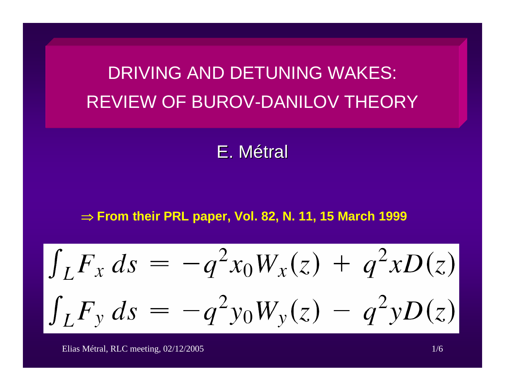DRIVING AND DETUNING WAKES: REVIEW OF BUROV-DANILOV THEORY

E.Métral

⇒ **From their PRL paper, Vol. 82, N. 11, 15 March 1999**

$$
\int_{L} F_{x} ds = -q^{2} x_{0} W_{x}(z) + q^{2} x D(z)
$$

$$
\int_{L} F_{y} ds = -q^{2} y_{0} W_{y}(z) - q^{2} y D(z)
$$

Elias Métral, RLC meeting, 02/12/2005 1/6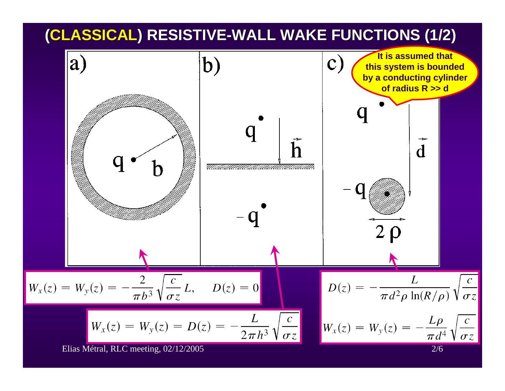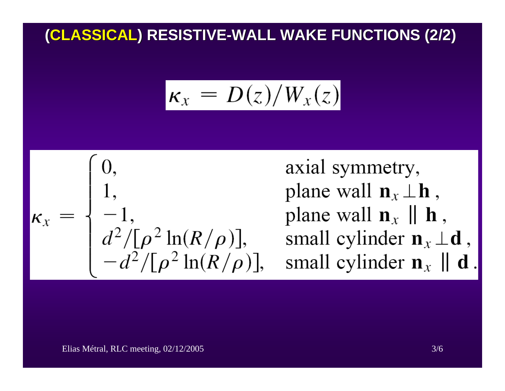## **(CLASSICAL CLASSICAL) RESISTIVE ) RESISTIVE -WALL WAKE FUNCTIONS (2/2) WALL WAKE FUNCTIONS (2/2)**

$$
\kappa_x = D(z)/W_x(z)
$$



axial symmetry, plane wall  $\mathbf{n}_x \perp \mathbf{h}$ , plane wall  $\mathbf{n}_x \parallel \mathbf{h}$ , small cylinder  $\mathbf{n}_x \perp \mathbf{d}$ , small cylinder  $\mathbf{n}_x \parallel \mathbf{d}$ .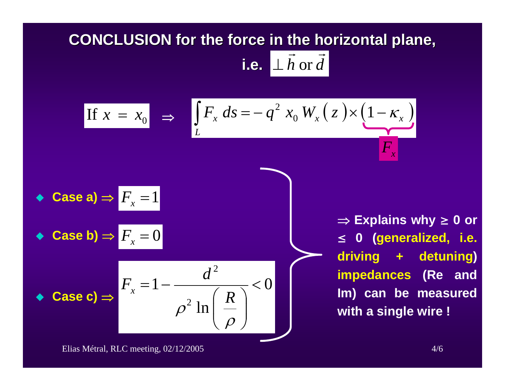## **CONCLUSION for the force in the horizontal plane,** i.e.  $\perp \vec{h}$  or  $\vec{d}$

If 
$$
x = x_0
$$
 ⇒ 
$$
\int_{L} F_x ds = -q^2 x_0 W_x(z) \times (1 - \kappa_x)
$$

\n• Case a) ⇒  $F_x = 1$ 

\n• Case b) ⇒  $F_x = 0$ 

\n• Case c) ⇒ 
$$
\begin{aligned}\nF_x &= \frac{1}{2} \\
F_x &= \frac{1}{2} \\
F_x &= \frac{1}{2}\n\end{aligned}
$$

\n⇒ Explains why ≥ 0 or ≤ 0 (generalized, i.e. driving + detuning) *impedances (Re and Im) can be measured with a single wire!*

⎟ ⎟

 $\int$ 

 $\rho$ 

*R*

ln

 $\overline{\phantom{a}}$ 

 $\setminus$ 

2

 $\rho$ 

Elias Métral, RLC meeting, 02/12/2005 4/6

♦

 $\blacklozenge$ 

 $\blacklozenge$ 

◆ Case c) ⇒

**with a single wire !**

**≥**

**0 or**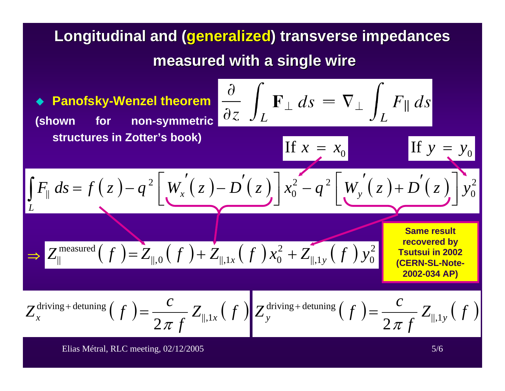## **Longitudinal and ( Longitudinal and (generalized generalized) transverse impedances ) transverse impedances measured with a single wire**

 $\blacklozenge$  **Panofsky-Wenzel theorem (shown for non-symmetric structures in Zotter's book)**

 $F_{\parallel}$   $ds$ 

*L*

⇒

∫

$$
\frac{\partial}{\partial z} \int_L \mathbf{F}_\perp ds = \nabla_\perp \int_L F_{\parallel} ds
$$

If 
$$
x = x_0
$$
  
\nIf  $y = y$   
\nIf  $y = y$   
\nIf  $y = y$   
\nIf  $y = y$ 

**Same result recovered by Tsutsui in 2002 (CERN-SL-Note-2002-034 AP)**

If *<sup>y</sup>*

 $y_0^2$ 

0

$$
Z_x^{\text{driving + detuning}}\left(f\right) = \frac{c}{2\,\pi\,f} \, Z_{\parallel,1x}\left(f\right) \Bigg| Z_y^{\text{driving + detuning}}\left(f\right) = \frac{c}{2\,\pi\,f} \, Z_{\parallel,1y}\left(f\right)
$$

 $\Rightarrow Z_{\parallel}^{\text{measured}}(f) = Z_{\parallel,0}(f) + Z_{\parallel,1x}(f)x_0^2 + Z_{\parallel,1y}(f)y_0^2$ 

 $_{\parallel,0}$   $\bigl(\,f\,\bigr)$  +  $Z_{\parallel,1x}$   $\bigl(\,f\,\bigr)\,x_0^2$  $Z^{\text{measured}}_{\parallel}(f) = Z_{\parallel,0}\left(f\right) + Z_{\parallel,1x}\left(f\right)x_0^2 + \overline{Z}_{\parallel,1y}\left(f\right)y$ 

Elias Métral, RLC meeting, 02/12/2005 5/6